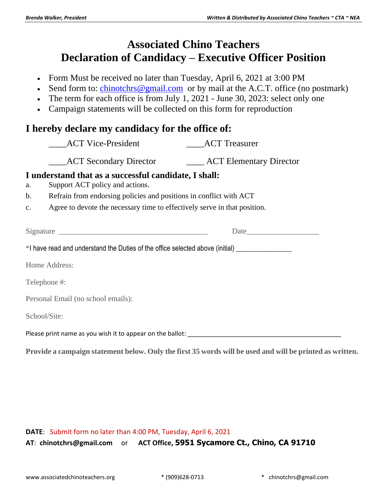## **Associated Chino Teachers Declaration of Candidacy – Executive Officer Position**

- Form Must be received no later than Tuesday, April 6, 2021 at 3:00 PM
- Send form to: [chinotchrs@gmail.com](mailto:chinotchrs@gmail.com) or by mail at the A.C.T. office (no postmark)
- The term for each office is from July 1, 2021 June 30, 2023: select only one
- Campaign statements will be collected on this form for reproduction

## **I hereby declare my candidacy for the office of:**

|                                                                                                                                                                                                                                | <b>ACT Vice-President</b>                                                 | <b>ACT</b> Treasurer |  |
|--------------------------------------------------------------------------------------------------------------------------------------------------------------------------------------------------------------------------------|---------------------------------------------------------------------------|----------------------|--|
|                                                                                                                                                                                                                                | ACT Secondary Director _________ ACT Elementary Director                  |                      |  |
| I understand that as a successful candidate, I shall:<br>Support ACT policy and actions.<br>a.                                                                                                                                 |                                                                           |                      |  |
| $\mathbf{b}$ .                                                                                                                                                                                                                 | Refrain from endorsing policies and positions in conflict with ACT        |                      |  |
| $\mathbf{c}$ .                                                                                                                                                                                                                 | Agree to devote the necessary time to effectively serve in that position. |                      |  |
|                                                                                                                                                                                                                                |                                                                           | Date                 |  |
| *I have read and understand the Duties of the office selected above (initial) ______________________                                                                                                                           |                                                                           |                      |  |
| Home Address:                                                                                                                                                                                                                  |                                                                           |                      |  |
| Telephone #:                                                                                                                                                                                                                   |                                                                           |                      |  |
| Personal Email (no school emails):                                                                                                                                                                                             |                                                                           |                      |  |
| School/Site:                                                                                                                                                                                                                   |                                                                           |                      |  |
| Please print name as you wish it to appear on the ballot: example and allote the set of the set of the set of the set of the set of the set of the set of the set of the set of the set of the set of the set of the set of th |                                                                           |                      |  |
|                                                                                                                                                                                                                                |                                                                           |                      |  |

**Provide a campaign statement below. Only the first 35 words will be used and will be printed as written.**

## **DATE**: Submit form no later than 4:00 PM, Tuesday, April 6, 2021 **AT**: **chinotchrs@gmail.com** or **ACT Office, 5951 Sycamore Ct., Chino, CA 91710**